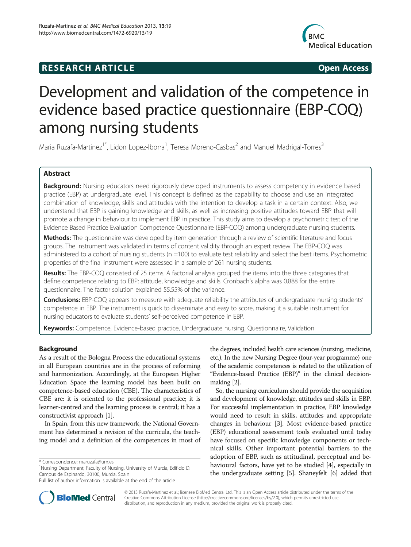# **RESEARCH ARTICLE Example 2018 Open Access**



# Development and validation of the competence in evidence based practice questionnaire (EBP-COQ) among nursing students

Maria Ruzafa-Martinez<sup>1\*</sup>, Lidon Lopez-Iborra<sup>1</sup>, Teresa Moreno-Casbas<sup>2</sup> and Manuel Madrigal-Torres<sup>3</sup>

# Abstract

Background: Nursing educators need rigorously developed instruments to assess competency in evidence based practice (EBP) at undergraduate level. This concept is defined as the capability to choose and use an integrated combination of knowledge, skills and attitudes with the intention to develop a task in a certain context. Also, we understand that EBP is gaining knowledge and skills, as well as increasing positive attitudes toward EBP that will promote a change in behaviour to implement EBP in practice. This study aims to develop a psychometric test of the Evidence Based Practice Evaluation Competence Questionnaire (EBP-COQ) among undergraduate nursing students.

Methods: The questionnaire was developed by item generation through a review of scientific literature and focus groups. The instrument was validated in terms of content validity through an expert review. The EBP-COQ was administered to a cohort of nursing students ( $n = 100$ ) to evaluate test reliability and select the best items. Psychometric properties of the final instrument were assessed in a sample of 261 nursing students.

Results: The EBP-COQ consisted of 25 items. A factorial analysis grouped the items into the three categories that define competence relating to EBP: attitude, knowledge and skills. Cronbach's alpha was 0.888 for the entire questionnaire. The factor solution explained 55.55% of the variance.

**Conclusions:** EBP-COQ appears to measure with adequate reliability the attributes of undergraduate nursing students' competence in EBP. The instrument is quick to disseminate and easy to score, making it a suitable instrument for nursing educators to evaluate students' self-perceived competence in EBP.

Keywords: Competence, Evidence-based practice, Undergraduate nursing, Questionnaire, Validation

# Background

As a result of the Bologna Process the educational systems in all European countries are in the process of reforming and harmonization. Accordingly, at the European Higher Education Space the learning model has been built on competence-based education (CBE). The characteristics of CBE are: it is oriented to the professional practice; it is learner-centred and the learning process is central; it has a constructivist approach [[1](#page-8-0)].

In Spain, from this new framework, the National Government has determined a revision of the curricula, the teaching model and a definition of the competences in most of

<sup>1</sup>Nursing Department, Faculty of Nursing, University of Murcia, Edificio D. Campus de Espinardo, 30100, Murcia, Spain

the degrees, included health care sciences (nursing, medicine, etc.). In the new Nursing Degree (four-year programme) one of the academic competences is related to the utilization of "Evidence-based Practice (EBP)" in the clinical decisionmaking [\[2](#page-8-0)].

So, the nursing curriculum should provide the acquisition and development of knowledge, attitudes and skills in EBP. For successful implementation in practice, EBP knowledge would need to result in skills, attitudes and appropriate changes in behaviour [\[3](#page-8-0)]. Most evidence-based practice (EBP) educational assessment tools evaluated until today have focused on specific knowledge components or technical skills. Other important potential barriers to the adoption of EBP, such as attitudinal, perceptual and behavioural factors, have yet to be studied [\[4\]](#page-8-0), especially in the undergraduate setting [[5](#page-8-0)]. Shaneyfelt [[6\]](#page-9-0) added that



© 2013 Ruzafa-Martinez et al.; licensee BioMed Central Ltd. This is an Open Access article distributed under the terms of the Creative Commons Attribution License (<http://creativecommons.org/licenses/by/2.0>), which permits unrestricted use, distribution, and reproduction in any medium, provided the original work is properly cited.

<sup>\*</sup> Correspondence: [maruzafa@um.es](mailto:maruzafa@um.es) <sup>1</sup>

Full list of author information is available at the end of the article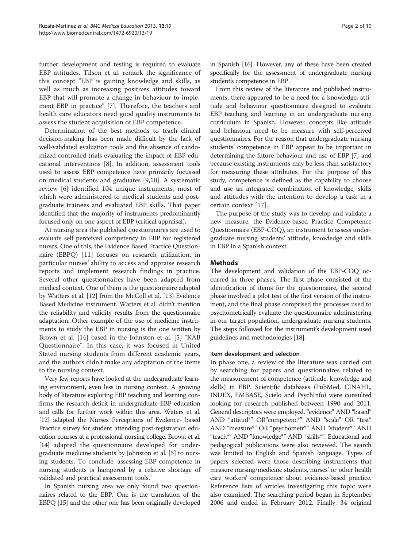further development and testing is required to evaluate EBP attitudes. Tilson et al. remark the significance of this concept "EBP is gaining knowledge and skills, as well as much as increasing positives attitudes toward EBP that will promote a change in behaviour to implement EBP in practice" [[7\]](#page-9-0). Therefore, the teachers and health care educators need good quality instruments to assess the student acquisition of EBP competence.

Determination of the best methods to teach clinical decision-making has been made difficult by the lack of well-validated evaluation tools and the absence of randomized controlled trials evaluating the impact of EBP educational interventions [[8](#page-9-0)]. In addition, assessment tools used to assess EBP competence have primarily focussed on medical students and graduates [[9,10\]](#page-9-0). A systematic review [\[6](#page-9-0)] identified 104 unique instruments, most of which were administered to medical students and postgraduate trainees and evaluated EBP skills. That paper identified that the majority of instruments predominantly focused only on one aspect of EBP (critical appraisal).

At nursing area the published questionnaires are used to evaluate self perceived competency in EBP for registered nurses. One of this, the Evidence Based Practice Questionnaire (EBPQ) [[11\]](#page-9-0) focuses on research utilization, in particular nurses' ability to access and appraise research reports and implement research findings in practice. Several other questionnaires have been adapted from medical context. One of them is the questionnaire adapted by Watters et al. [[12](#page-9-0)] from the McColl et al. [\[13](#page-9-0)] Evidence Based Medicine instrument. Watters et al. didn't mention the reliability and validity results from the questionnaire adaptation. Other example of the use of medicine instruments to study the EBP in nursing is the one written by Brown et al. [\[14\]](#page-9-0) based in the Johnston et al. [[5](#page-8-0)] "KAB Questionnaire". In this case, it was focused in United Stated nursing students from different academic years, and the authors didn't make any adaptation of the items to the nursing context.

Very few reports have looked at the undergraduate learning environment, even less in nursing context. A growing body of literature exploring EBP teaching and learning confirms the research deficit in undergraduate EBP education and calls for further work within this area. Waters et al. [[12](#page-9-0)] adapted the Nurses Perceptions of Evidence- based Practice survey for student attending post-registration education courses at a professional nursing college. Brown et al. [[14\]](#page-9-0) adapted the questionnaire developed for undergraduate medicine students by Johnston et al. [\[5](#page-8-0)] to nursing students. To conclude: assessing EBP competence in nursing students is hampered by a relative shortage of validated and practical assessment tools.

In Spanish nursing area we only found two questionnaires related to the EBP. One is the translation of the EBPQ [\[15\]](#page-9-0) and the other one has been originally developed in Spanish [[16](#page-9-0)]. However, any of these have been created specifically for the assessment of undergraduate nursing student's competence in EBP.

From this review of the literature and published instruments, there appeared to be a need for a knowledge, attitude and behaviour questionnaire designed to evaluate EBP teaching and learning in an undergraduate nursing curriculum in Spanish. However, concepts like attitude and behaviour need to be measure with self-perceived questionnaires. For the reason that undergraduate nursing students' competence in EBP appear to be important in determining the future behaviour and use of EBP [\[7](#page-9-0)] and because existing instruments may be less than satisfactory for measuring these attributes. For the purpose of this study, competence is defined as the capability to choose and use an integrated combination of knowledge, skills and attitudes with the intention to develop a task in a certain context [[17](#page-9-0)].

The purpose of the study was to develop and validate a new measure, the Evidence-based Practice Competence Questionnaire (EBP-COQ), an instrument to assess undergraduate nursing students' attitude, knowledge and skills in EBP in a Spanish context.

# **Methods**

The development and validation of the EBP-COQ occurred in three phases. The first phase consisted of the identification of items for the questionnaire, the second phase involved a pilot test of the first version of the instrument, and the final phase comprised the processes used to psychometrically evaluate the questionnaire administering in our target population, undergraduate nursing students. The steps followed for the instrument's development used guidelines and methodologies [[18](#page-9-0)].

# Item development and selection

In phase one, a review of the literature was carried out by searching for papers and questionnaires related to the measurement of competence (attitude, knowledge and skills) in EBP. Scientific databases (PubMed, CINAHL, INDEX, EMBASE, Scielo and PsychInfo) were consulted looking for research published between 1990 and 2011. General descriptors were employed, "evidence" AND "based" AND "attitud\*" OR"competenc\*" AND "scale" OR "test" AND "measure\*" OR "psychometr\*" AND "student\*" AND "teach\*" AND "knowledge\*" AND "skills\*". Educational and pedagogical publications were also reviewed. The search was limited to English and Spanish language. Types of papers selected were those describing instruments that measure nursing/medicine students, nurses' or other health care workers' competence about evidence-based practice. Reference lists of articles investigating this topic were also examined. The searching period began in September 2006 and ended in February 2012. Finally, 34 original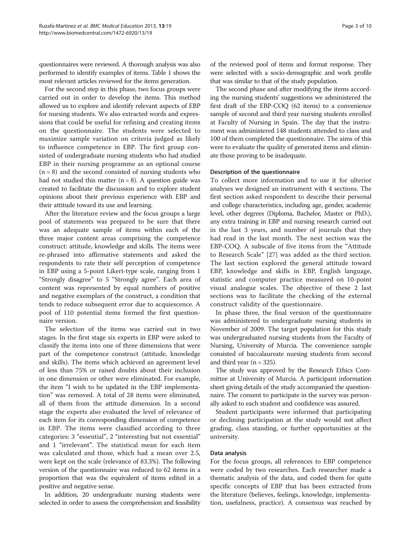questionnaires were reviewed. A thorough analysis was also performed to identify examples of items. Table [1](#page-3-0) shows the most relevant articles reviewed for the items generation.

For the second step in this phase, two focus groups were carried out in order to develop the items. This method allowed us to explore and identify relevant aspects of EBP for nursing students. We also extracted words and expressions that could be useful for refining and creating items on the questionnaire. The students were selected to maximize sample variation on criteria judged as likely to influence competence in EBP. The first group consisted of undergraduate nursing students who had studied EBP in their nursing programme as an optional course  $(n = 8)$  and the second consisted of nursing students who had not studied this matter  $(n = 8)$ . A question guide was created to facilitate the discussion and to explore student opinions about their previous experience with EBP and their attitude toward its use and learning.

After the literature review and the focus groups a large pool of statements was prepared to be sure that there was an adequate sample of items within each of the three major content areas comprising the competence construct: attitude, knowledge and skills. The items were re-phrased into affirmative statements and asked the respondents to rate their self perception of competence in EBP using a 5-point Likert-type scale, ranging from 1 "Strongly disagree" to 5 "Strongly agree". Each area of content was represented by equal numbers of positive and negative exemplars of the construct, a condition that tends to reduce subsequent error due to acquiescence. A pool of 110 potential items formed the first questionnaire version.

The selection of the items was carried out in two stages. In the first stage six experts in EBP were asked to classify the items into one of three dimensions that were part of the competence construct (attitude, knowledge and skills). The items which achieved an agreement level of less than 75% or raised doubts about their inclusion in one dimension or other were eliminated. For example, the item "I wish to be updated in the EBP implementation" was removed. A total of 28 items were eliminated, all of them from the attitude dimension. In a second stage the experts also evaluated the level of relevance of each item for its corresponding dimension of competence in EBP. The items were classified according to three categories: 3 "essential", 2 "interesting but not essential" and 1 "irrelevant". The statistical mean for each item was calculated and those, which had a mean over 2.5, were kept on the scale (relevance of 83.3%). The following version of the questionnaire was reduced to 62 items in a proportion that was the equivalent of items edited in a positive and negative sense.

In addition, 20 undergraduate nursing students were selected in order to assess the comprehension and feasibility

of the reviewed pool of items and format response. They were selected with a socio-demographic and work profile that was similar to that of the study population.

The second phase and after modifying the items according the nursing students' suggestions we administered the first draft of the EBP-COQ (62 items) to a convenience sample of second and third year nursing students enrolled at Faculty of Nursing in Spain. The day that the instrument was administered 148 students attended to class and 100 of them completed the questionnaire. The aims of this were to evaluate the quality of generated items and eliminate those proving to be inadequate.

# Description of the questionnaire

To collect more information and to use it for ulterior analyses we designed an instrument with 4 sections. The first section asked respondent to describe their personal and college characteristics, including age, gender, academic level, other degrees (Diploma, Bachelor, Master or PhD.), any extra training in EBP and nursing research carried out in the last 3 years, and number of journals that they had read in the last month. The next section was the EBP-COQ. A subscale of five items from the "Attitude to Research Scale" [\[27](#page-9-0)] was added as the third section. The last section explored the general attitude toward EBP, knowledge and skills in EBP, English language, statistic and computer practice measured on 10-point visual analogue scales. The objective of these 2 last sections was to facilitate the checking of the external construct validity of the questionnaire.

In phase three, the final version of the questionnaire was administered to undergraduate nursing students in November of 2009. The target population for this study was undergraduated nursing students from the Faculty of Nursing, University of Murcia. The convenience sample consisted of baccalaureate nursing students from second and third year  $(n = 325)$ .

The study was approved by the Research Ethics Committee at University of Murcia. A participant information sheet giving details of the study accompanied the questionnaire. The consent to participate in the survey was personally asked to each student and confidence was assured.

Student participants were informed that participating or declining participation at the study would not affect grading, class standing, or further opportunities at the university.

# Data analysis

For the focus groups, all references to EBP competence were coded by two researches. Each researcher made a thematic analysis of the data, and coded them for quite specific concepts of EBP that has been extracted from the literature (believes, feelings, knowledge, implementation, usefulness, practice). A consensus was reached by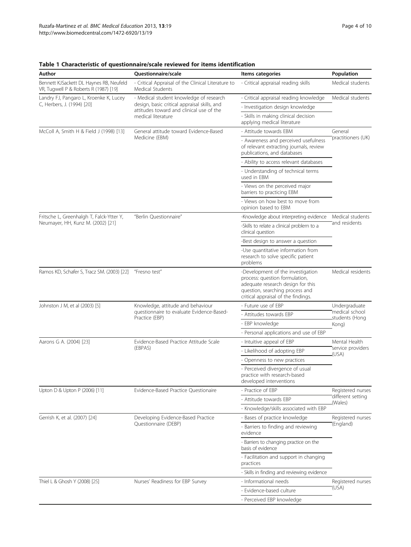<span id="page-3-0"></span>

|  |  | Table 1 Characteristic of questionnaire/scale reviewed for items identification |
|--|--|---------------------------------------------------------------------------------|
|--|--|---------------------------------------------------------------------------------|

| Author                                                                           | Questionnaire/scale                                                                      | Items categories                                                                                                                                                                                        | Population                       |  |  |  |
|----------------------------------------------------------------------------------|------------------------------------------------------------------------------------------|---------------------------------------------------------------------------------------------------------------------------------------------------------------------------------------------------------|----------------------------------|--|--|--|
| Bennett KJSackett DL Haynes RB, Neufeld<br>VR, Tugwell P & Roberts R (1987) [19] | - Critical Appraisal of the Clinical Literature to<br>Medical Students                   | - Critical appraisal reading skills                                                                                                                                                                     | Medical students                 |  |  |  |
| Landry FJ, Pangaro L, Kroenke K, Lucey                                           | - Medical student knowledge of research                                                  | - Critical appraisal reading knowledge                                                                                                                                                                  | Medical students                 |  |  |  |
| C, Herbers, J. (1994) [20]                                                       | design, basic critical appraisal skills, and<br>attitudes toward and clinical use of the | - Investigation design knowledge                                                                                                                                                                        |                                  |  |  |  |
|                                                                                  | medical literature                                                                       | - Skills in making clinical decision<br>applying medical literature                                                                                                                                     |                                  |  |  |  |
| McColl A, Smith H & Field J (1998) [13]                                          | General attitude toward Evidence-Based                                                   | - Attitude towards EBM                                                                                                                                                                                  | General                          |  |  |  |
|                                                                                  | Medicine (EBM)                                                                           | - Awareness and perceived usefulness<br>of relevant extracting journals, review<br>publications, and databases                                                                                          | practitioners (UK)               |  |  |  |
|                                                                                  |                                                                                          | - Ability to access relevant databases                                                                                                                                                                  |                                  |  |  |  |
|                                                                                  |                                                                                          | - Understanding of technical terms<br>used in EBM                                                                                                                                                       |                                  |  |  |  |
|                                                                                  |                                                                                          | - Views on the perceived major<br>barriers to practicing EBM                                                                                                                                            |                                  |  |  |  |
|                                                                                  |                                                                                          | - Views on how best to move from<br>opinion based to EBM                                                                                                                                                |                                  |  |  |  |
| Fritsche L, Greenhalgh T, Falck-Ytter Y,                                         | "Berlin Questionnaire"                                                                   | -Knowledge about interpreting evidence                                                                                                                                                                  | Medical students                 |  |  |  |
| Neumayer, HH, Kunz M. (2002) [21]                                                |                                                                                          | -Skills to relate a clinical problem to a<br>clinical question                                                                                                                                          | and residents                    |  |  |  |
|                                                                                  |                                                                                          | -Best design to answer a question                                                                                                                                                                       |                                  |  |  |  |
|                                                                                  |                                                                                          | -Use quantitative information from<br>research to solve specific patient<br>problems                                                                                                                    |                                  |  |  |  |
| Ramos KD, Schafer S, Tracz SM. (2003) [22] "Fresno test"                         |                                                                                          | Medical residents<br>-Development of the investigation<br>process: question formulation,<br>adequate research design for this<br>question, searching process and<br>critical appraisal of the findings. |                                  |  |  |  |
| Johnston J M, et al (2003) [5]                                                   | Knowledge, attitude and behaviour                                                        | - Future use of EBP                                                                                                                                                                                     | Undergraduate                    |  |  |  |
|                                                                                  | questionnaire to evaluate Evidence-Based-<br>Practice (EBP)                              | - Attitudes towards EBP                                                                                                                                                                                 | medical school<br>students (Hong |  |  |  |
|                                                                                  |                                                                                          | - EBP knowledge                                                                                                                                                                                         | Kong)                            |  |  |  |
|                                                                                  |                                                                                          | - Personal applications and use of EBP                                                                                                                                                                  |                                  |  |  |  |
| Aarons G A. (2004) [23]                                                          | Evidence-Based Practice Attitude Scale                                                   | - Intuitive appeal of EBP                                                                                                                                                                               | Mental Health                    |  |  |  |
|                                                                                  | (EBPAS)                                                                                  | - Likelihood of adopting EBP                                                                                                                                                                            | service providers<br>(USA)       |  |  |  |
|                                                                                  |                                                                                          | Openness to new practices                                                                                                                                                                               |                                  |  |  |  |
|                                                                                  |                                                                                          | - Perceived divergence of usual<br>practice with research-based<br>developed interventions                                                                                                              |                                  |  |  |  |
| Upton D & Upton P (2006) [11]                                                    | Evidence-Based Practice Questionaire                                                     | - Practice of EBP                                                                                                                                                                                       | Registered nurses                |  |  |  |
|                                                                                  |                                                                                          | - Attitude towards EBP                                                                                                                                                                                  | different setting<br>(Wales)     |  |  |  |
|                                                                                  |                                                                                          | - Knowledge/skills associated with EBP                                                                                                                                                                  |                                  |  |  |  |
| Gerrish K, et al. (2007) [24]                                                    | Developing Evidence-Based Practice                                                       | - Bases of practice knowledge                                                                                                                                                                           | Registered nurses                |  |  |  |
|                                                                                  | Questionnaire (DEBP)                                                                     | - Barriers to finding and reviewing<br>evidence                                                                                                                                                         | (England)                        |  |  |  |
|                                                                                  |                                                                                          | - Barriers to changing practice on the<br>basis of evidence                                                                                                                                             |                                  |  |  |  |
|                                                                                  |                                                                                          | - Facilitation and support in changing<br>practices                                                                                                                                                     |                                  |  |  |  |
|                                                                                  |                                                                                          | - Skills in finding and reviewing evidence                                                                                                                                                              |                                  |  |  |  |
| Thiel L & Ghosh Y (2008) [25]                                                    | Nurses' Readiness for EBP Survey                                                         | - Informational needs                                                                                                                                                                                   | Registered nurses                |  |  |  |
|                                                                                  |                                                                                          | - Evidence-based culture                                                                                                                                                                                | (USA)                            |  |  |  |
|                                                                                  |                                                                                          | - Perceived EBP knowledge                                                                                                                                                                               |                                  |  |  |  |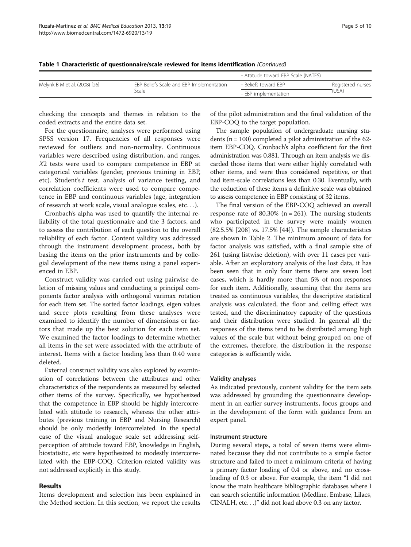Table 1 Characteristic of questionnaire/scale reviewed for items identification (Continued)

|                               |                                          | - Attitude toward EBP Scale (NATES) |                   |
|-------------------------------|------------------------------------------|-------------------------------------|-------------------|
| Melynk B M et al. (2008) [26] | EBP Beliefs Scale and EBP Implementation | - Beliefs toward EBP                | Registered nurses |
|                               | Scale                                    | - EBP implementation                | (USA)             |

checking the concepts and themes in relation to the coded extracts and the entire data set.

For the questionnaire, analyses were performed using SPSS version 17. Frequencies of all responses were reviewed for outliers and non-normality. Continuous variables were described using distribution, and ranges. X2 tests were used to compare competence in EBP at categorical variables (gender, previous training in EBP, etc). Student's  $t$  test, analysis of variance testing, and correlation coefficients were used to compare competence in EBP and continuous variables (age, integration of research at work scale, visual analogue scales, etc...).

Cronbach's alpha was used to quantify the internal reliability of the total questionnaire and the 3 factors, and to assess the contribution of each question to the overall reliability of each factor. Content validity was addressed through the instrument development process, both by basing the items on the prior instruments and by collegial development of the new items using a panel experienced in EBP.

Construct validity was carried out using pairwise deletion of missing values and conducting a principal components factor analysis with orthogonal varimax rotation for each item set. The sorted factor loadings, eigen values and scree plots resulting from these analyses were examined to identify the number of dimensions or factors that made up the best solution for each item set. We examined the factor loadings to determine whether all items in the set were associated with the attribute of interest. Items with a factor loading less than 0.40 were deleted.

External construct validity was also explored by examination of correlations between the attributes and other characteristics of the respondents as measured by selected other items of the survey. Specifically, we hypothesized that the competence in EBP should be highly intercorrelated with attitude to research, whereas the other attributes (previous training in EBP and Nursing Research) should be only modestly intercorrelated. In the special case of the visual analogue scale set addressing selfperception of attitude toward EBP, knowledge in English, biostatistic, etc were hypothesized to modestly intercorrelated with the EBP-COQ. Criterion-related validity was not addressed explicitly in this study.

#### Results

Items development and selection has been explained in the Method section. In this section, we report the results of the pilot administration and the final validation of the EBP-COQ to the target population.

The sample population of undergraduate nursing students (n = 100) completed a pilot administration of the 62 item EBP-COQ. Cronbach's alpha coefficient for the first administration was 0.881. Through an item analysis we discarded those items that were either highly correlated with other items, and were thus considered repetitive, or that had item-scale correlations less than 0.30. Eventually, with the reduction of these items a definitive scale was obtained to assess competence in EBP consisting of 32 items.

The final version of the EBP-COQ achieved an overall response rate of 80.30% ( $n = 261$ ). The nursing students who participated in the survey were mainly women (82.5.5% [208] vs. 17.5% [44]). The sample characteristics are shown in Table [2.](#page-5-0) The minimum amount of data for factor analysis was satisfied, with a final sample size of 261 (using listwise deletion), with over 11 cases per variable. After an exploratory analysis of the lost data, it has been seen that in only four items there are seven lost cases, which is hardly more than 5% of non-responses for each item. Additionally, assuming that the items are treated as continuous variables, the descriptive statistical analysis was calculated, the floor and ceiling effect was tested, and the discriminatory capacity of the questions and their distribution were studied. In general all the responses of the items tend to be distributed among high values of the scale but without being grouped on one of the extremes, therefore, the distribution in the response categories is sufficiently wide.

#### Validity analyses

As indicated previously, content validity for the item sets was addressed by grounding the questionnaire development in an earlier survey instruments, focus groups and in the development of the form with guidance from an expert panel.

### Instrument structure

During several steps, a total of seven items were eliminated because they did not contribute to a simple factor structure and failed to meet a minimum criteria of having a primary factor loading of 0.4 or above, and no crossloading of 0.3 or above. For example, the item "I did not know the main healthcare bibliographic databases where I can search scientific information (Medline, Embase, Lilacs, CINALH, etc...)" did not load above 0.3 on any factor.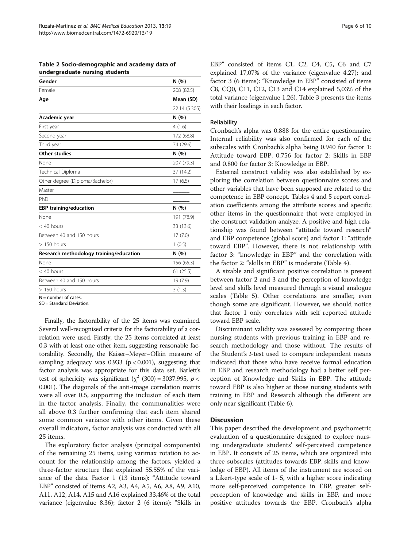<span id="page-5-0"></span>Table 2 Socio-demographic and academy data of undergraduate nursing students

| Gender                                  | N(%)          |
|-----------------------------------------|---------------|
| Female                                  | 208 (82.5)    |
| Age                                     | Mean (SD)     |
|                                         | 22.14 (5.305) |
| Academic year                           | N(%)          |
| First year                              | 4(1.6)        |
| Second year                             | 172 (68.8)    |
| Third year                              | 74 (29.6)     |
| Other studies                           | N(%)          |
| None                                    | 207 (79.3)    |
| Technical Diploma                       | 37 (14.2)     |
| Other degree (Diploma/Bachelor)         | 17(6.5)       |
| Master                                  |               |
| PhD                                     |               |
| <b>EBP</b> training/education           | N(%)          |
| None                                    | 191 (78.9)    |
| $<$ 40 hours                            | 33 (13.6)     |
| Between 40 and 150 hours                | 17(7.0)       |
| $>150$ hours                            | 1(0.5)        |
| Research methodology training/education | N(%)          |
| None                                    | 156 (65.3)    |
| $<$ 40 hours                            | 61(25.5)      |
| Between 40 and 150 hours                | 19 (7.9)      |
| $>150$ hours                            | 3(1.3)        |
| $N -$ number of cases                   |               |

N = number of cases. SD = Standard Deviation.

Finally, the factorability of the 25 items was examined. Several well-recognised criteria for the factorability of a correlation were used. Firstly, the 25 items correlated at least 0.3 with at least one other item, suggesting reasonable factorability. Secondly, the Kaiser–Meyer–Olkin measure of sampling adequacy was  $0.933$  ( $p < 0.001$ ), suggesting that factor analysis was appropriate for this data set. Barlett's test of sphericity was significant ( $\chi^2$  (300) = 3037.995, p < 0.001). The diagonals of the anti-image correlation matrix were all over 0.5, supporting the inclusion of each item in the factor analysis. Finally, the communalities were all above 0.3 further confirming that each item shared some common variance with other items. Given these overall indicators, factor analysis was conducted with all 25 items.

The exploratory factor analysis (principal components) of the remaining 25 items, using varimax rotation to account for the relationship among the factors, yielded a three-factor structure that explained 55.55% of the variance of the data. Factor 1 (13 items): "Attitude toward EBP" consisted of items A2, A3, A4, A5, A6, A8, A9, A10, A11, A12, A14, A15 and A16 explained 33,46% of the total variance (eigenvalue 8.36); factor 2 (6 items): "Skills in EBP" consisted of items C1, C2, C4, C5, C6 and C7 explained 17,07% of the variance (eigenvalue 4.27); and factor 3 (6 items): "Knowledge in EBP" consisted of items C8, CQ0, C11, C12, C13 and C14 explained 5,03% of the total variance (eigenvalue 1.26). Table [3](#page-6-0) presents the items with their loadings in each factor.

### Reliability

Cronbach's alpha was 0.888 for the entire questionnaire. Internal reliability was also confirmed for each of the subscales with Cronbach's alpha being 0.940 for factor 1: Attitude toward EBP; 0.756 for factor 2: Skills in EBP and 0.800 for factor 3: Knowledge in EBP.

External construct validity was also established by exploring the correlation between questionnaire scores and other variables that have been supposed are related to the competence in EBP concept. Tables [4](#page-6-0) and [5](#page-7-0) report correlation coefficients among the attribute scores and specific other items in the questionnaire that were employed in the construct validation analyze. A positive and high relationship was found between "attitude toward research" and EBP competence (global score) and factor 1: "attitude toward EBP". However, there is not relationship with factor 3: "knowledge in EBP" and the correlation with the factor 2: "skills in EBP" is moderate (Table [4](#page-6-0)).

A sizable and significant positive correlation is present between factor 2 and 3 and the perception of knowledge level and skills level measured through a visual analogue scales (Table [5\)](#page-7-0). Other correlations are smaller, even though some are significant. However, we should notice that factor 1 only correlates with self reported attitude toward EBP scale.

Discriminant validity was assessed by comparing those nursing students with previous training in EBP and research methodology and those without. The results of the Student's t-test used to compare independent means indicated that those who have receive formal education in EBP and research methodology had a better self perception of Knowledge and Skills in EBP. The attitude toward EBP is also higher at those nursing students with training in EBP and Research although the different are only near significant (Table [6](#page-7-0)).

# **Discussion**

This paper described the development and psychometric evaluation of a questionnaire designed to explore nursing undergraduate students' self-perceived competence in EBP. It consists of 25 items, which are organized into three subscales (attitudes towards EBP, skills and knowledge of EBP). All items of the instrument are scored on a Likert-type scale of 1- 5, with a higher score indicating more self-perceived competence in EBP, greater selfperception of knowledge and skills in EBP, and more positive attitudes towards the EBP. Cronbach's alpha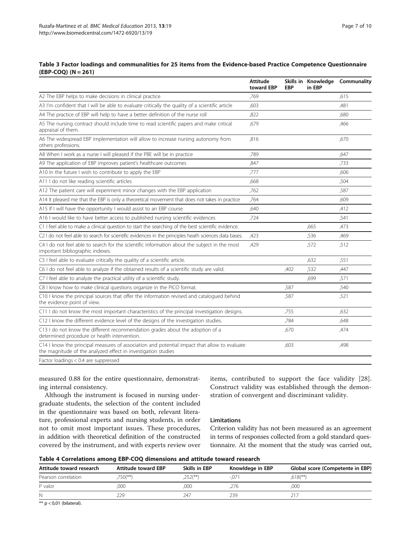<span id="page-6-0"></span>

|                     |  | Table 3 Factor loadings and communalities for 25 items from the Evidence-based Practice Competence Questionnaire |  |  |
|---------------------|--|------------------------------------------------------------------------------------------------------------------|--|--|
| (EBP-COQ) (N = 261) |  |                                                                                                                  |  |  |

|                                                                                                                                                               | <b>Attitude</b><br>toward EBP | <b>EBP</b> | in EBP | Skills in Knowledge Communality |
|---------------------------------------------------------------------------------------------------------------------------------------------------------------|-------------------------------|------------|--------|---------------------------------|
| A2 The EBP helps to make decisions in clinical practice                                                                                                       | .769                          |            |        | ,615                            |
| A3 I'm confident that I will be able to evaluate critically the quality of a scientific article                                                               | ,603                          |            |        | ,481                            |
| A4 The practice of EBP will help to have a better definition of the nurse roll                                                                                | ,822                          |            |        | ,680                            |
| A5 The nursing contract should include time to read scientific papers and make critical<br>appraisal of them.                                                 | .679                          |            |        | ,466                            |
| A6 The widespread EBP implementation will allow to increase nursing autonomy from<br>others professions.                                                      | ,816                          |            |        | ,670                            |
| A8 When I work as a nurse I will pleased if the PBE will be in practice                                                                                       | .789                          |            |        | .647                            |
| A9 The application of EBP improves patient's healthcare outcomes                                                                                              | .847                          |            |        | ,733                            |
| A10 In the future I wish to contribute to apply the EBP                                                                                                       | .777                          |            |        | .606                            |
| A11 I do not like reading scientific articles                                                                                                                 | ,668                          |            |        | ,504                            |
| A12 The patient care will experiment minor changes with the EBP application                                                                                   | ,762                          |            |        | ,587                            |
| A14 It pleased me that the EBP is only a theoretical movement that does not takes in practice                                                                 | ,764                          |            |        | ,609                            |
| A15 If I will have the opportunity I would assist to an EBP course                                                                                            | ,640                          |            |        | ,412                            |
| A16 I would like to have better access to published nursing scientific evidences                                                                              | ,724                          |            |        | ,541                            |
| C1 I feel able to make a clinical question to start the searching of the best scientific evidence.                                                            |                               |            | ,665   | ,473                            |
| C2 I do not feel able to search for scientific evidences in the principles heath sciences data bases.                                                         | ,423                          |            | ,536   | ,469                            |
| C4 I do not feel able to search for the scientific information about the subject in the most<br>important bibliographic indexes.                              | ,429                          |            | ,572   | ,512                            |
| C5 I feel able to evaluate critically the quality of a scientific article.                                                                                    |                               |            | ,632   | ,551                            |
| C6 I do not feel able to analyze if the obtained results of a scientific study are valid.                                                                     |                               | ,402       | ,532   | ,447                            |
| C7 I feel able to analyze the practical utility of a scientific study.                                                                                        |                               |            | ,699   | ,571                            |
| C8 I know how to make clinical questions organize in the PICO format.                                                                                         |                               | ,587       |        | ,540                            |
| C10 I know the principal sources that offer the information revised and catalogued behind<br>the evidence point of view.                                      |                               | ,587       |        | ,521                            |
| C11 I do not know the most important characteristics of the principal investigation designs.                                                                  |                               | ,755       |        | ,632                            |
| C12 I know the different evidence level of the designs of the investigation studies.                                                                          |                               | ,784       |        | .648                            |
| C13 I do not know the different recommendation grades about the adoption of a<br>determined procedure or health intervention.                                 |                               | ,670       |        | ,474                            |
| C14 I know the principal measures of association and potential impact that allow to evaluate<br>the magnitude of the analyzed effect in investigation studies |                               | ,603       |        | ,498                            |
| Factor loadings < 0.4 are suppressed                                                                                                                          |                               |            |        |                                 |

measured 0.88 for the entire questionnaire, demonstrating internal consistency.

Although the instrument is focused in nursing undergraduate students, the selection of the content included in the questionnaire was based on both, relevant literature, professional experts and nursing students, in order not to omit most important issues. These procedures, in addition with theoretical definition of the constructed covered by the instrument, and with experts review over items, contributed to support the face validity [\[28](#page-9-0)]. Construct validity was established through the demonstration of convergent and discriminant validity.

# Limitations

Criterion validity has not been measured as an agreement in terms of responses collected from a gold standard questionnaire. At the moment that the study was carried out,

| Table 4 Correlations among EBP-COQ dimensions and attitude toward research |  |
|----------------------------------------------------------------------------|--|
|----------------------------------------------------------------------------|--|

| Attitude toward research | <b>Attitude toward EBP</b> | Skills in EBP         | Knowldege in EBP | Global score (Competente in EBP) |
|--------------------------|----------------------------|-----------------------|------------------|----------------------------------|
| Pearson correlation      | 750(**)                    | $252$ <sup>(**)</sup> | $-.071$          | $.618$ <sup>**</sup> )           |
| P valor                  | .000                       | 000                   | 276              | .000                             |
| N                        | 229                        | 247                   | 239              |                                  |

 $** p < 0.01$  (bilateral).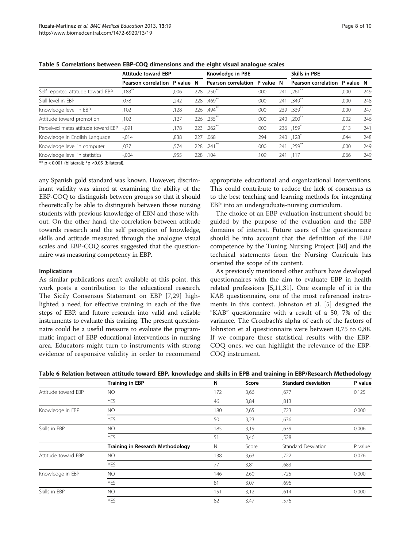|                                     | <b>Attitude toward EBP</b>    |      | Knowledge in PBE |                               |      | <b>Skills in PBE</b> |                               |      |     |
|-------------------------------------|-------------------------------|------|------------------|-------------------------------|------|----------------------|-------------------------------|------|-----|
|                                     | Pearson correlation P value N |      |                  | Pearson correlation P value N |      |                      | Pearson correlation P value N |      |     |
| Self reported attitude toward EBP   | $,183***$                     | .006 |                  | 228, 250                      | .000 | 241                  | ,261                          | .000 | 249 |
| Skill level in EBP                  | ,078                          | ,242 |                  | 228 469                       | ,000 | 241                  | 349ْ,                         | ,000 | 248 |
| Knowledge level in EBP              | ,102                          | ,128 |                  | 226 494                       | .000 |                      | 239 ,339 <sup>**</sup>        | .000 | 247 |
| Attitude toward promotion           | .102                          | .127 |                  | 226 , 235**                   | .000 |                      | 240, 200 <sup>-1</sup>        | .002 | 246 |
| Perceived mates attitude toward EBP | $-0.091$                      | .178 |                  | 223 , 262 <sup>**</sup>       | .000 |                      | 159 <sup>"</sup>              | .013 | 241 |
| Knowledge in English Language       | $-0.014$                      | ,838 | 227              | ,068                          | ,294 |                      | 128 <sup>°</sup> , 240        | .044 | 248 |
| Knowledge level in computer         | ,037                          | .574 |                  | $228$ , $241$ <sup>**</sup>   | .000 | 241                  | ,259**                        | .000 | 249 |
| Knowledge level in statistics       | $-.004$                       | .955 |                  | 228 .104                      | ,109 | 241                  | .117                          | .066 | 249 |

<span id="page-7-0"></span>Table 5 Correlations between EBP-COQ dimensions and the eight visual analogue scales

\*\*  $p < 0.001$  (bilateral); \* $p < 0.05$  (bilateral).

any Spanish gold standard was known. However, discriminant validity was aimed at examining the ability of the EBP-COQ to distinguish between groups so that it should theoretically be able to distinguish between those nursing students with previous knowledge of EBN and those without. On the other hand, the correlation between attitude towards research and the self perception of knowledge, skills and attitude measured through the analogue visual scales and EBP-COQ scores suggested that the questionnaire was measuring competency in EBP.

#### Implications

As similar publications aren't available at this point, this work posts a contribution to the educational research. The Sicily Consensus Statement on EBP [\[7,29](#page-9-0)] highlighted a need for effective training in each of the five steps of EBP, and future research into valid and reliable instruments to evaluate this training. The present questionnaire could be a useful measure to evaluate the programmatic impact of EBP educational interventions in nursing area. Educators might turn to instruments with strong evidence of responsive validity in order to recommend appropriate educational and organizational interventions. This could contribute to reduce the lack of consensus as to the best teaching and learning methods for integrating EBP into an undergraduate-nursing curriculum.

The choice of an EBP evaluation instrument should be guided by the purpose of the evaluation and the EBP domains of interest. Future users of the questionnaire should be into account that the definition of the EBP competence by the Tuning Nursing Project [[30\]](#page-9-0) and the technical statements from the Nursing Curricula has oriented the scope of its content.

As previously mentioned other authors have developed questionnaires with the aim to evaluate EBP in health related professions [\[5](#page-8-0)[,11,31\]](#page-9-0). One example of it is the KAB questionnaire, one of the most referenced instruments in this context. Johnston et al. [[5\]](#page-8-0) designed the "KAB" questionnaire with a result of a 50, 7% of the variance. The Cronbach's alpha of each of the factors of Johnston et al questionnaire were between 0,75 to 0,88. If we compare these statistical results with the EBP-COQ ones, we can highlight the relevance of the EBP-COQ instrument.

| Table 6 Relation between attitude toward EBP, knowledge and skills in EPB and training in EBP/Research Methodology |  |  |  |  |  |  |  |  |  |  |  |
|--------------------------------------------------------------------------------------------------------------------|--|--|--|--|--|--|--|--|--|--|--|
|--------------------------------------------------------------------------------------------------------------------|--|--|--|--|--|--|--|--|--|--|--|

|                     | <b>Training in EBP</b>                  | N   | Score | <b>Standard desviation</b> | P value |
|---------------------|-----------------------------------------|-----|-------|----------------------------|---------|
| Attitude toward EBP | NO                                      | 172 | 3,66  | ,677                       | 0.125   |
|                     | <b>YES</b>                              | 46  | 3,84  | ,813                       |         |
| Knowledge in EBP    | NO.                                     | 180 | 2,65  | ,723                       | 0.000   |
|                     | <b>YES</b>                              | 50  | 3,23  | ,636                       |         |
| Skills in EBP       | <b>NO</b>                               | 185 | 3,19  | ,639                       | 0.006   |
|                     | <b>YES</b>                              | 51  | 3,46  | ,528                       |         |
|                     | <b>Training in Research Methodology</b> | Ν   | Score | <b>Standard Desviation</b> | P value |
| Attitude toward EBP | <b>NO</b>                               | 138 | 3,63  | ,722                       | 0.076   |
|                     | <b>YES</b>                              | 77  | 3,81  | ,683                       |         |
| Knowledge in EBP    | NO.                                     | 146 | 2,60  | ,725                       | 0.000   |
|                     | <b>YES</b>                              | 81  | 3,07  | ,696                       |         |
| Skills in EBP       | <b>NO</b>                               | 151 | 3,12  | ,614                       | 0.000   |
|                     | <b>YES</b>                              | 82  | 3,47  | ,576                       |         |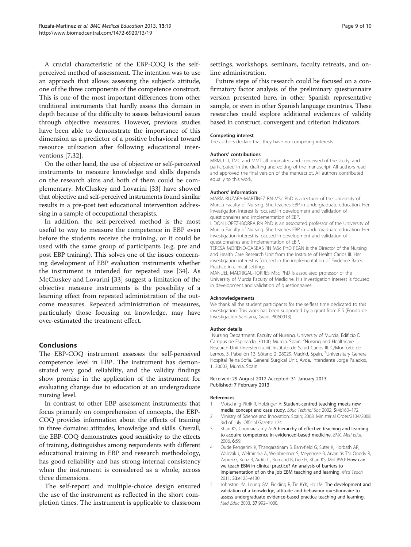<span id="page-8-0"></span>A crucial characteristic of the EBP-COQ is the selfperceived method of assessment. The intention was to use an approach that allows assessing the subject's attitude, one of the three components of the competence construct. This is one of the most important differences from other traditional instruments that hardly assess this domain in depth because of the difficulty to assess behavioural issues through objective measures. However, previous studies have been able to demonstrate the importance of this dimension as a predictor of a positive behavioral toward resource utilization after following educational interventions [[7,32\]](#page-9-0).

On the other hand, the use of objective or self-perceived instruments to measure knowledge and skills depends on the research aims and both of them could be complementary. McCluskey and Lovarini [[33\]](#page-9-0) have showed that objective and self-perceived instruments found similar results in a pre-post test educational intervention addressing in a sample of occupational therapists.

In addition, the self-perceived method is the most useful to way to measure the competence in EBP even before the students receive the training, or it could be used with the same group of participants (e.g. pre and post EBP training). This solves one of the issues concerning development of EBP evaluation instruments whether the instrument is intended for repeated use [[34](#page-9-0)]. As McCluskey and Lovarini [\[33](#page-9-0)] suggest a limitation of the objective measure instruments is the possibility of a learning effect from repeated administration of the outcome measures. Repeated administration of measures, particularly those focusing on knowledge, may have over-estimated the treatment effect.

# Conclusions

The EBP-COQ instrument assesses the self-perceived competence level in EBP. The instrument has demonstrated very good reliability, and the validity findings show promise in the application of the instrument for evaluating change due to education at an undergraduate nursing level.

In contrast to other EBP assessment instruments that focus primarily on comprehension of concepts, the EBP-COQ provides information about the effects of training in three domains: attitudes, knowledge and skills. Overall, the EBP-COQ demonstrates good sensitivity to the effects of training, distinguishes among respondents with different educational training in EBP and research methodology, has good reliability and has strong internal consistency when the instrument is considered as a whole, across three dimensions.

The self-report and multiple-choice design ensured the use of the instrument as reflected in the short completion times. The instrument is applicable to classroom

settings, workshops, seminars, faculty retreats, and online administration.

Future steps of this research could be focused on a confirmatory factor analysis of the preliminary questionnaire version presented here, in other Spanish representative sample, or even in other Spanish language countries. These researches could explore additional evidences of validity based in construct, convergent and criterion indicators.

#### Competing interest

The authors declare that they have no competing interests.

#### Authors' contributions

MRM, LLI, TMC and MMT all originated and conceived of the study, and participated in the drafting and editing of the manuscript. All authors read and approved the final version of the manuscript. All authors contributed equally to this work.

#### Authors' information

MARÍA RUZAFA-MARTÍNEZ RN MSc PhD is a lecturer of the University of Murcia Faculty of Nursing. She teaches EBP in undergraduate education. Her investigation interest is focused in development and validation of questionnaires and implementation of EBP.

LIDÓN LÓPEZ-IBORRA RN PhD is an associated professor of the University of Murcia Faculty of Nursing. She teaches EBP in undergraduate education. Her investigation interest is focused in development and validation of questionnaires and implementation of EBP.

TERESA MORENO-CASBAS RN MSc PhD FEAN is the Director of the Nursing and Health Care Research Unit from the Institute of Health Carlos III. Her investigation interest is focused in the implementation of Evidence Based Practice in clinical settings.

MANUEL MADRIGAL-TORRES MSc PhD is associated professor of the University of Murcia Faculty of Medicine. His investigation interest is focused in development and validation of questionnaires.

#### Acknowledgements

We thank all the student participants for the selfless time dedicated to this investigation. This work has been supported by a grant from FIS (Fondo de Investigación Sanitaria, Grant PI060913).

#### Author details

<sup>1</sup>Nursing Department, Faculty of Nursing, University of Murcia, Edificio D. Campus de Espinardo, 30100, Murcia, Spain. <sup>2</sup>Nursing and Healthcare Research Unit (Investén-isciii). Instituto de Salud Carlos III. C/Monforte de Lemos, 5. Pabellón 13. Sótano 2, 28029, Madrid, Spain. <sup>3</sup>Universitary General Hospital Reina Sofia. General Surgical Unit, Avda. Intendente Jorge Palacios, 1, 30003, Murcia, Spain.

#### Received: 29 August 2012 Accepted: 31 January 2013 Published: 7 February 2013

#### References

- Motschnig-Pitrik R, Holzinger A: Student-centred teaching meets new media: concept and case study. Educ Technol Soc 2002, 5(4):160–172.
- 2. Ministry of Science and Innovation: Spain; 2008. Ministerial Order/2134/2008, 3rd of July. Official Gazette 174.
- 3. Khan KS, Coomarasamy A: A hierarchy of effective teaching and learning to acquire competence in evidenced-based medicine. BMC Med Educ 2006, 6:59.
- 4. Oude Rengerink K, Thangaratinam S, Barn-field G, Suter K, Horbath AR, Walczak J, Welminska A, Weinbrenner S, Meyerrose B, Arvanitis TN, Onody R, Zanrei G, Kunz R, Arditi C, Burnand B, Gee H, Khan KS, Mol BWJ: How can we teach EBM in clinical practice? An analysis of barriers to implementation of on the job EBM teaching and learning. Med Teach 2011, 33:e125–e130.
- 5. Johnston JM, Leung GM, Fielding R, Tin KYK, Ho LM: The development and validation of a knowledge, attitude and behaviour questionnaire to assess undergraduate evidence-based practice teaching and learning. Med Educ 2003, 37:992–1000.